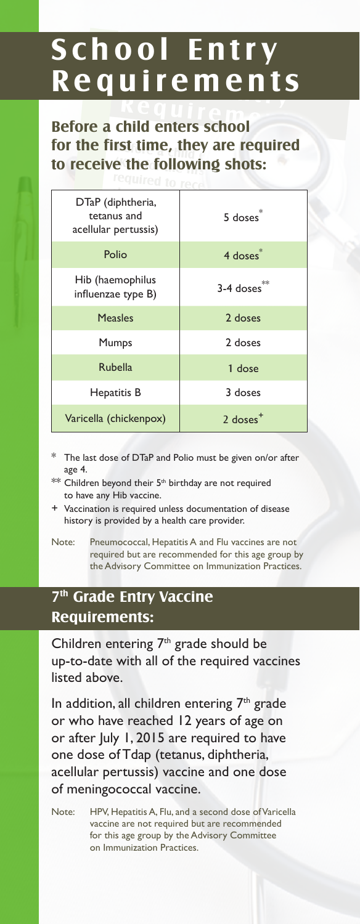## **School Entry Requirements**

**Before a child enters school for the first time, they are required to receive the following shots:**

| DTaP (diphtheria,<br>tetanus and<br>acellular pertussis) | 5 doses <sup>*</sup>   |
|----------------------------------------------------------|------------------------|
| Polio                                                    | $4$ doses $*$          |
| Hib (haemophilus<br>influenzae type B)                   | 3-4 doses**            |
| <b>Measles</b>                                           | 2 doses                |
| Mumps                                                    | 2 doses                |
| <b>Rubella</b>                                           | 1 dose                 |
| Hepatitis B                                              | 3 doses                |
| Varicella (chickenpox)                                   | $2$ doses <sup>+</sup> |

- The last dose of DTaP and Polio must be given on/or after age 4.
- \*\* Children beyond their 5<sup>th</sup> birthday are not required to have any Hib vaccine.
- + Vaccination is required unless documentation of disease history is provided by a health care provider.
- Note: Pneumococcal, Hepatitis A and Flu vaccines are not required but are recommended for this age group by the Advisory Committee on Immunization Practices.

## **7th Grade Entry Vaccine Requirements:**

Children entering  $7<sup>th</sup>$  grade should be up-to-date with all of the required vaccines listed above.

In addition, all children entering  $7<sup>th</sup>$  grade or who have reached 12 years of age on or after July 1, 2015 are required to have one dose of Tdap (tetanus, diphtheria, acellular pertussis) vaccine and one dose of meningococcal vaccine.

Note: HPV, Hepatitis A, Flu, and a second dose of Varicella vaccine are not required but are recommended for this age group by the Advisory Committee on Immunization Practices.